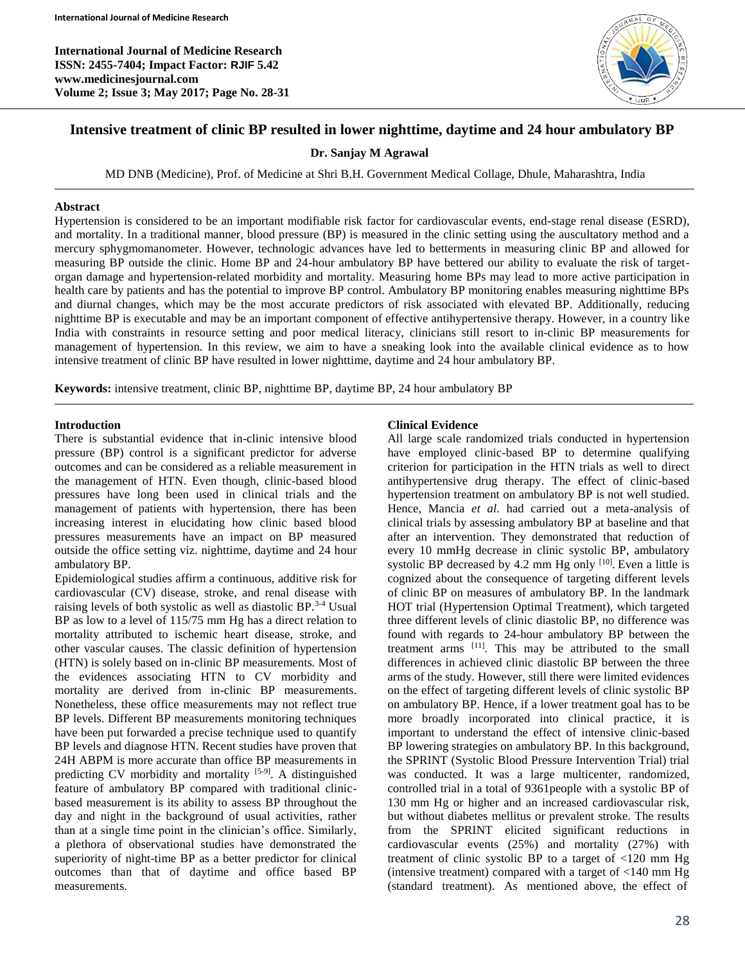**International Journal of Medicine Research ISSN: 2455-7404; Impact Factor: RJIF 5.42 www.medicinesjournal.com Volume 2; Issue 3; May 2017; Page No. 28-31**



# **Intensive treatment of clinic BP resulted in lower nighttime, daytime and 24 hour ambulatory BP**

**Dr. Sanjay M Agrawal**

MD DNB (Medicine), Prof. of Medicine at Shri B.H. Government Medical Collage, Dhule, Maharashtra, India

### **Abstract**

Hypertension is considered to be an important modifiable risk factor for cardiovascular events, end-stage renal disease (ESRD), and mortality. In a traditional manner, blood pressure (BP) is measured in the clinic setting using the auscultatory method and a mercury sphygmomanometer. However, technologic advances have led to betterments in measuring clinic BP and allowed for measuring BP outside the clinic. Home BP and 24-hour ambulatory BP have bettered our ability to evaluate the risk of targetorgan damage and hypertension-related morbidity and mortality. Measuring home BPs may lead to more active participation in health care by patients and has the potential to improve BP control. Ambulatory BP monitoring enables measuring nighttime BPs and diurnal changes, which may be the most accurate predictors of risk associated with elevated BP. Additionally, reducing nighttime BP is executable and may be an important component of effective antihypertensive therapy. However, in a country like India with constraints in resource setting and poor medical literacy, clinicians still resort to in-clinic BP measurements for management of hypertension. In this review, we aim to have a sneaking look into the available clinical evidence as to how intensive treatment of clinic BP have resulted in lower nighttime, daytime and 24 hour ambulatory BP.

**Keywords:** intensive treatment, clinic BP, nighttime BP, daytime BP, 24 hour ambulatory BP

#### **Introduction**

There is substantial evidence that in-clinic intensive blood pressure (BP) control is a significant predictor for adverse outcomes and can be considered as a reliable measurement in the management of HTN. Even though, clinic-based blood pressures have long been used in clinical trials and the management of patients with hypertension, there has been increasing interest in elucidating how clinic based blood pressures measurements have an impact on BP measured outside the office setting viz. nighttime, daytime and 24 hour ambulatory BP.

Epidemiological studies affirm a continuous, additive risk for cardiovascular (CV) disease, stroke, and renal disease with raising levels of both systolic as well as diastolic BP.<sup>3-4</sup> Usual BP as low to a level of 115/75 mm Hg has a direct relation to mortality attributed to ischemic heart disease, stroke, and other vascular causes. The classic definition of hypertension (HTN) is solely based on in-clinic BP measurements. Most of the evidences associating HTN to CV morbidity and mortality are derived from in-clinic BP measurements. Nonetheless, these office measurements may not reflect true BP levels. Different BP measurements monitoring techniques have been put forwarded a precise technique used to quantify BP levels and diagnose HTN. Recent studies have proven that 24H ABPM is more accurate than office BP measurements in predicting CV morbidity and mortality [5-9]. A distinguished feature of ambulatory BP compared with traditional clinicbased measurement is its ability to assess BP throughout the day and night in the background of usual activities, rather than at a single time point in the clinician's office. Similarly, a plethora of observational studies have demonstrated the superiority of night-time BP as a better predictor for clinical outcomes than that of daytime and office based BP measurements.

#### **Clinical Evidence**

All large scale randomized trials conducted in hypertension have employed clinic-based BP to determine qualifying criterion for participation in the HTN trials as well to direct antihypertensive drug therapy. The effect of clinic-based hypertension treatment on ambulatory BP is not well studied. Hence, Mancia *et al*. had carried out a meta-analysis of clinical trials by assessing ambulatory BP at baseline and that after an intervention. They demonstrated that reduction of every 10 mmHg decrease in clinic systolic BP, ambulatory systolic BP decreased by  $4.2$  mm Hg only  $[10]$ . Even a little is cognized about the consequence of targeting different levels of clinic BP on measures of ambulatory BP. In the landmark HOT trial (Hypertension Optimal Treatment), which targeted three different levels of clinic diastolic BP, no difference was found with regards to 24-hour ambulatory BP between the treatment arms [11] . This may be attributed to the small differences in achieved clinic diastolic BP between the three arms of the study. However, still there were limited evidences on the effect of targeting different levels of clinic systolic BP on ambulatory BP. Hence, if a lower treatment goal has to be more broadly incorporated into clinical practice, it is important to understand the effect of intensive clinic-based BP lowering strategies on ambulatory BP. In this background, the SPRINT (Systolic Blood Pressure Intervention Trial) trial was conducted. It was a large multicenter, randomized, controlled trial in a total of 9361people with a systolic BP of 130 mm Hg or higher and an increased cardiovascular risk, but without diabetes mellitus or prevalent stroke. The results from the SPRINT elicited significant reductions in cardiovascular events (25%) and mortality (27%) with treatment of clinic systolic BP to a target of <120 mm Hg (intensive treatment) compared with a target of  $\langle 140 \text{ mm Hg} \rangle$ (standard treatment). As mentioned above, the effect of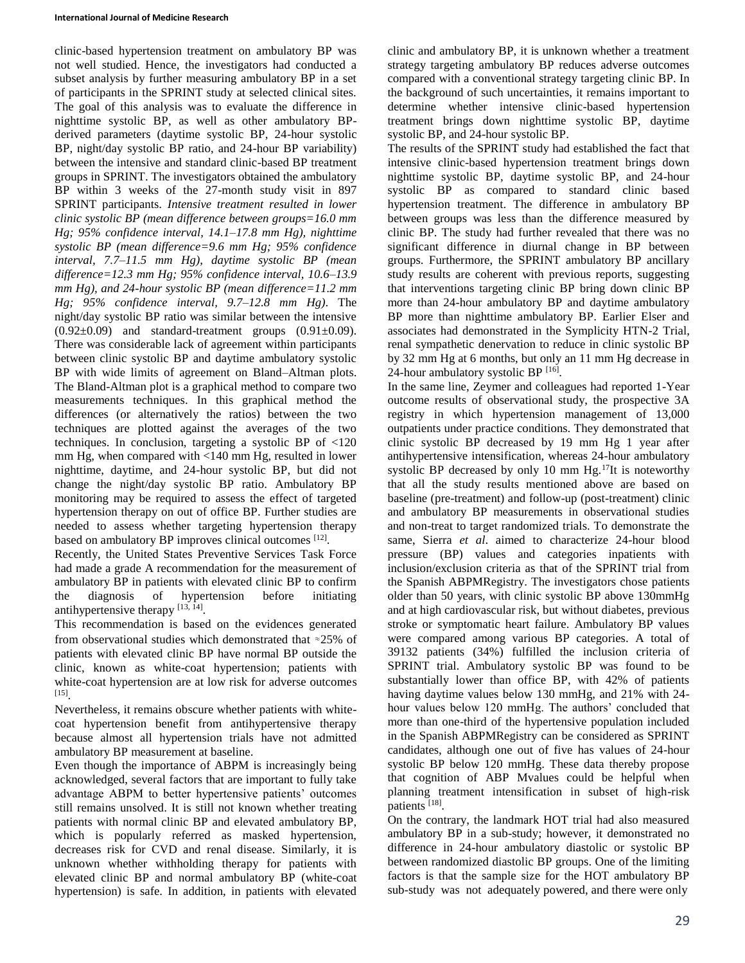clinic-based hypertension treatment on ambulatory BP was not well studied. Hence, the investigators had conducted a subset analysis by further measuring ambulatory BP in a set of participants in the SPRINT study at selected clinical sites. The goal of this analysis was to evaluate the difference in nighttime systolic BP, as well as other ambulatory BPderived parameters (daytime systolic BP, 24-hour systolic BP, night/day systolic BP ratio, and 24-hour BP variability) between the intensive and standard clinic-based BP treatment groups in SPRINT. The investigators obtained the ambulatory BP within 3 weeks of the 27-month study visit in 897 SPRINT participants. *Intensive treatment resulted in lower clinic systolic BP (mean difference between groups=16.0 mm Hg; 95% confidence interval, 14.1–17.8 mm Hg), nighttime systolic BP (mean difference=9.6 mm Hg; 95% confidence interval, 7.7–11.5 mm Hg), daytime systolic BP (mean difference=12.3 mm Hg; 95% confidence interval, 10.6–13.9 mm Hg), and 24-hour systolic BP (mean difference=11.2 mm Hg; 95% confidence interval, 9.7–12.8 mm Hg)*. The night/day systolic BP ratio was similar between the intensive  $(0.92\pm0.09)$  and standard-treatment groups  $(0.91\pm0.09)$ . There was considerable lack of agreement within participants between clinic systolic BP and daytime ambulatory systolic BP with wide limits of agreement on Bland–Altman plots. The Bland-Altman plot is a graphical method to compare two measurements techniques. In this graphical method the differences (or alternatively the ratios) between the two techniques are plotted against the averages of the two techniques. In conclusion, targeting a systolic BP of <120 mm Hg, when compared with <140 mm Hg, resulted in lower nighttime, daytime, and 24-hour systolic BP, but did not change the night/day systolic BP ratio. Ambulatory BP monitoring may be required to assess the effect of targeted hypertension therapy on out of office BP. Further studies are needed to assess whether targeting hypertension therapy based on ambulatory BP improves clinical outcomes [12].

Recently, the United States Preventive Services Task Force had made a grade A recommendation for the measurement of ambulatory BP in patients with elevated clinic BP to confirm the diagnosis of hypertension before initiating antihypertensive therapy  $[13, 14]$ .

This recommendation is based on the evidences generated from observational studies which demonstrated that ≈25% of patients with elevated clinic BP have normal BP outside the clinic, known as white-coat hypertension; patients with white-coat hypertension are at low risk for adverse outcomes [15] .

Nevertheless, it remains obscure whether patients with whitecoat hypertension benefit from antihypertensive therapy because almost all hypertension trials have not admitted ambulatory BP measurement at baseline.

Even though the importance of ABPM is increasingly being acknowledged, several factors that are important to fully take advantage ABPM to better hypertensive patients' outcomes still remains unsolved. It is still not known whether treating patients with normal clinic BP and elevated ambulatory BP, which is popularly referred as masked hypertension, decreases risk for CVD and renal disease. Similarly, it is unknown whether withholding therapy for patients with elevated clinic BP and normal ambulatory BP (white-coat hypertension) is safe. In addition, in patients with elevated

clinic and ambulatory BP, it is unknown whether a treatment strategy targeting ambulatory BP reduces adverse outcomes compared with a conventional strategy targeting clinic BP. In the background of such uncertainties, it remains important to determine whether intensive clinic-based hypertension treatment brings down nighttime systolic BP, daytime systolic BP, and 24-hour systolic BP.

The results of the SPRINT study had established the fact that intensive clinic-based hypertension treatment brings down nighttime systolic BP, daytime systolic BP, and 24-hour systolic BP as compared to standard clinic based hypertension treatment. The difference in ambulatory BP between groups was less than the difference measured by clinic BP. The study had further revealed that there was no significant difference in diurnal change in BP between groups. Furthermore, the SPRINT ambulatory BP ancillary study results are coherent with previous reports, suggesting that interventions targeting clinic BP bring down clinic BP more than 24-hour ambulatory BP and daytime ambulatory BP more than nighttime ambulatory BP. Earlier Elser and associates had demonstrated in the Symplicity HTN-2 Trial, renal sympathetic denervation to reduce in clinic systolic BP by 32 mm Hg at 6 months, but only an 11 mm Hg decrease in 24-hour ambulatory systolic BP [16].

In the same line, Zeymer and colleagues had reported 1-Year outcome results of observational study, the prospective 3A registry in which hypertension management of 13,000 outpatients under practice conditions. They demonstrated that clinic systolic BP decreased by 19 mm Hg 1 year after antihypertensive intensification, whereas 24-hour ambulatory systolic BP decreased by only 10 mm Hg.<sup>17</sup>It is noteworthy that all the study results mentioned above are based on baseline (pre-treatment) and follow-up (post-treatment) clinic and ambulatory BP measurements in observational studies and non-treat to target randomized trials. To demonstrate the same, Sierra *et al*. aimed to characterize 24-hour blood pressure (BP) values and categories inpatients with inclusion/exclusion criteria as that of the SPRINT trial from the Spanish ABPMRegistry. The investigators chose patients older than 50 years, with clinic systolic BP above 130mmHg and at high cardiovascular risk, but without diabetes, previous stroke or symptomatic heart failure. Ambulatory BP values were compared among various BP categories. A total of 39132 patients (34%) fulfilled the inclusion criteria of SPRINT trial. Ambulatory systolic BP was found to be substantially lower than office BP, with 42% of patients having daytime values below 130 mmHg, and 21% with 24 hour values below 120 mmHg. The authors' concluded that more than one-third of the hypertensive population included in the Spanish ABPMRegistry can be considered as SPRINT candidates, although one out of five has values of 24-hour systolic BP below 120 mmHg. These data thereby propose that cognition of ABP Mvalues could be helpful when planning treatment intensification in subset of high-risk patients [18].

On the contrary, the landmark HOT trial had also measured ambulatory BP in a sub-study; however, it demonstrated no difference in 24-hour ambulatory diastolic or systolic BP between randomized diastolic BP groups. One of the limiting factors is that the sample size for the HOT ambulatory BP sub-study was not adequately powered, and there were only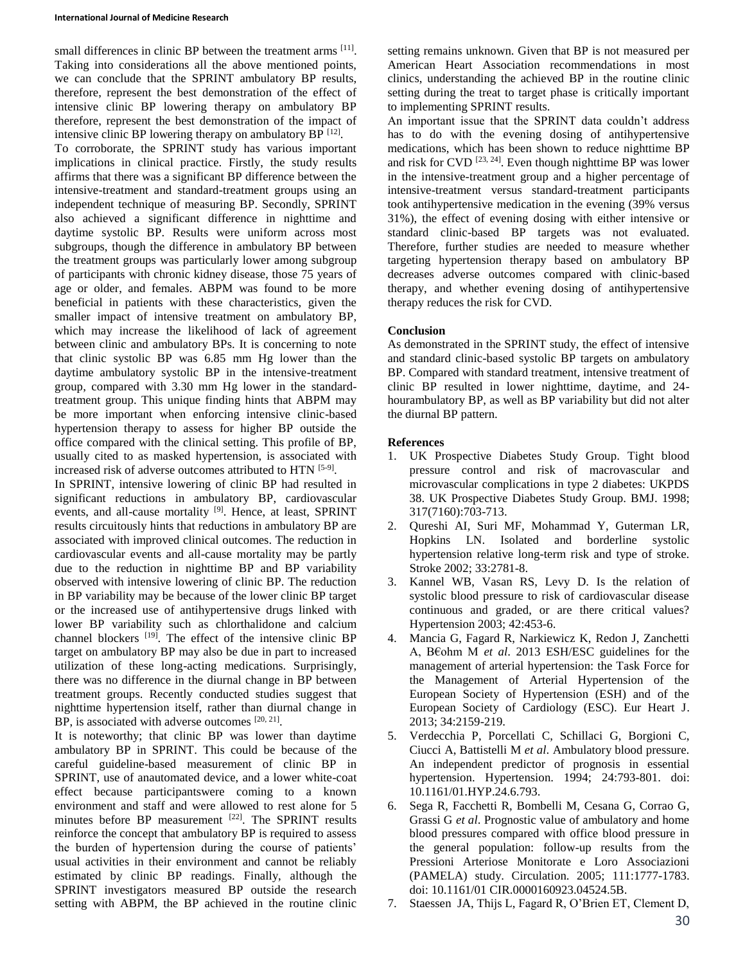#### **International Journal of Medicine Research**

small differences in clinic BP between the treatment arms [11]. Taking into considerations all the above mentioned points, we can conclude that the SPRINT ambulatory BP results, therefore, represent the best demonstration of the effect of intensive clinic BP lowering therapy on ambulatory BP therefore, represent the best demonstration of the impact of intensive clinic BP lowering therapy on ambulatory BP  $[12]$ .

To corroborate, the SPRINT study has various important implications in clinical practice. Firstly, the study results affirms that there was a significant BP difference between the intensive-treatment and standard-treatment groups using an independent technique of measuring BP. Secondly, SPRINT also achieved a significant difference in nighttime and daytime systolic BP. Results were uniform across most subgroups, though the difference in ambulatory BP between the treatment groups was particularly lower among subgroup of participants with chronic kidney disease, those 75 years of age or older, and females. ABPM was found to be more beneficial in patients with these characteristics, given the smaller impact of intensive treatment on ambulatory BP, which may increase the likelihood of lack of agreement between clinic and ambulatory BPs. It is concerning to note that clinic systolic BP was 6.85 mm Hg lower than the daytime ambulatory systolic BP in the intensive-treatment group, compared with 3.30 mm Hg lower in the standardtreatment group. This unique finding hints that ABPM may be more important when enforcing intensive clinic-based hypertension therapy to assess for higher BP outside the office compared with the clinical setting. This profile of BP, usually cited to as masked hypertension, is associated with increased risk of adverse outcomes attributed to HTN [5-9].

In SPRINT, intensive lowering of clinic BP had resulted in significant reductions in ambulatory BP, cardiovascular events, and all-cause mortality <sup>[9]</sup>. Hence, at least, SPRINT results circuitously hints that reductions in ambulatory BP are associated with improved clinical outcomes. The reduction in cardiovascular events and all-cause mortality may be partly due to the reduction in nighttime BP and BP variability observed with intensive lowering of clinic BP. The reduction in BP variability may be because of the lower clinic BP target or the increased use of antihypertensive drugs linked with lower BP variability such as chlorthalidone and calcium channel blockers <sup>[19]</sup>. The effect of the intensive clinic BP target on ambulatory BP may also be due in part to increased utilization of these long-acting medications. Surprisingly, there was no difference in the diurnal change in BP between treatment groups. Recently conducted studies suggest that nighttime hypertension itself, rather than diurnal change in BP, is associated with adverse outcomes  $[20, 21]$ .

It is noteworthy; that clinic BP was lower than daytime ambulatory BP in SPRINT. This could be because of the careful guideline-based measurement of clinic BP in SPRINT, use of anautomated device, and a lower white-coat effect because participantswere coming to a known environment and staff and were allowed to rest alone for 5 minutes before BP measurement [22]. The SPRINT results reinforce the concept that ambulatory BP is required to assess the burden of hypertension during the course of patients' usual activities in their environment and cannot be reliably estimated by clinic BP readings. Finally, although the SPRINT investigators measured BP outside the research setting with ABPM, the BP achieved in the routine clinic

setting remains unknown. Given that BP is not measured per American Heart Association recommendations in most clinics, understanding the achieved BP in the routine clinic setting during the treat to target phase is critically important to implementing SPRINT results.

An important issue that the SPRINT data couldn't address has to do with the evening dosing of antihypertensive medications, which has been shown to reduce nighttime BP and risk for CVD  $[23, 24]$ . Even though nighttime BP was lower in the intensive-treatment group and a higher percentage of intensive-treatment versus standard-treatment participants took antihypertensive medication in the evening (39% versus 31%), the effect of evening dosing with either intensive or standard clinic-based BP targets was not evaluated. Therefore, further studies are needed to measure whether targeting hypertension therapy based on ambulatory BP decreases adverse outcomes compared with clinic-based therapy, and whether evening dosing of antihypertensive therapy reduces the risk for CVD.

# **Conclusion**

As demonstrated in the SPRINT study, the effect of intensive and standard clinic-based systolic BP targets on ambulatory BP. Compared with standard treatment, intensive treatment of clinic BP resulted in lower nighttime, daytime, and 24 hourambulatory BP, as well as BP variability but did not alter the diurnal BP pattern.

# **References**

- 1. UK Prospective Diabetes Study Group. Tight blood pressure control and risk of macrovascular and microvascular complications in type 2 diabetes: UKPDS 38. UK Prospective Diabetes Study Group. BMJ. 1998; 317(7160):703-713.
- 2. Qureshi AI, Suri MF, Mohammad Y, Guterman LR, Hopkins LN. Isolated and borderline systolic hypertension relative long-term risk and type of stroke. Stroke 2002; 33:2781-8.
- 3. Kannel WB, Vasan RS, Levy D. Is the relation of systolic blood pressure to risk of cardiovascular disease continuous and graded, or are there critical values? Hypertension 2003; 42:453-6.
- 4. Mancia G, Fagard R, Narkiewicz K, Redon J, Zanchetti A, B€ohm M *et al*. 2013 ESH/ESC guidelines for the management of arterial hypertension: the Task Force for the Management of Arterial Hypertension of the European Society of Hypertension (ESH) and of the European Society of Cardiology (ESC). Eur Heart J. 2013; 34:2159-219.
- 5. Verdecchia P, Porcellati C, Schillaci G, Borgioni C, Ciucci A, Battistelli M *et al*. Ambulatory blood pressure. An independent predictor of prognosis in essential hypertension. Hypertension. 1994; 24:793-801. doi: 10.1161/01.HYP.24.6.793.
- 6. Sega R, Facchetti R, Bombelli M, Cesana G, Corrao G, Grassi G *et al*. Prognostic value of ambulatory and home blood pressures compared with office blood pressure in the general population: follow-up results from the Pressioni Arteriose Monitorate e Loro Associazioni (PAMELA) study. Circulation. 2005; 111:1777-1783. doi: 10.1161/01 CIR.0000160923.04524.5B.
- 7. Staessen JA, Thijs L, Fagard R, O'Brien ET, Clement D,